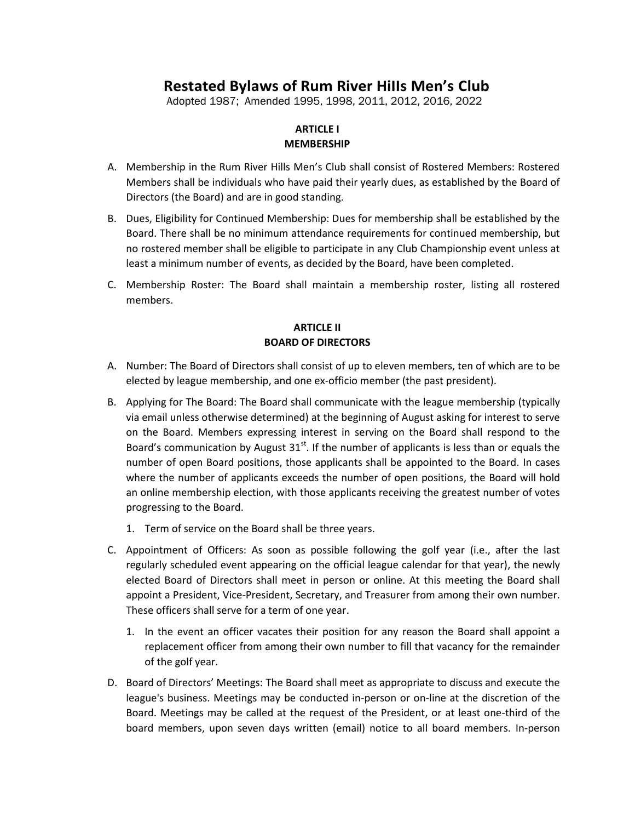# **Restated Bylaws of Rum River HiIIs Men's Club**

Adopted 1987; Amended 1995, 1998, 2011, 2012, 2016, 2022

#### **ARTICLE I MEMBERSHIP**

- A. Membership in the Rum River Hills Men's Club shall consist of Rostered Members: Rostered Members shall be individuals who have paid their yearly dues, as established by the Board of Directors (the Board) and are in good standing.
- B. Dues, Eligibility for Continued Membership: Dues for membership shall be established by the Board. There shall be no minimum attendance requirements for continued membership, but no rostered member shall be eligible to participate in any Club Championship event unless at least a minimum number of events, as decided by the Board, have been completed.
- C. Membership Roster: The Board shall maintain a membership roster, listing all rostered members.

## **ARTICLE II BOARD OF DIRECTORS**

- A. Number: The Board of Directors shall consist of up to eleven members, ten of which are to be elected by league membership, and one ex-officio member (the past president).
- B. Applying for The Board: The Board shall communicate with the league membership (typically via email unless otherwise determined) at the beginning of August asking for interest to serve on the Board. Members expressing interest in serving on the Board shall respond to the Board's communication by August  $31^{st}$ . If the number of applicants is less than or equals the number of open Board positions, those applicants shall be appointed to the Board. In cases where the number of applicants exceeds the number of open positions, the Board will hold an online membership election, with those applicants receiving the greatest number of votes progressing to the Board.
	- 1. Term of service on the Board shall be three years.
- C. Appointment of Officers: As soon as possible following the golf year (i.e., after the last regularly scheduled event appearing on the official league calendar for that year), the newly elected Board of Directors shall meet in person or online. At this meeting the Board shall appoint a President, Vice-President, Secretary, and Treasurer from among their own number. These officers shall serve for a term of one year.
	- 1. In the event an officer vacates their position for any reason the Board shall appoint a replacement officer from among their own number to fill that vacancy for the remainder of the golf year.
- D. Board of Directors' Meetings: The Board shall meet as appropriate to discuss and execute the league's business. Meetings may be conducted in-person or on-line at the discretion of the Board. Meetings may be called at the request of the President, or at least one-third of the board members, upon seven days written (email) notice to all board members. In-person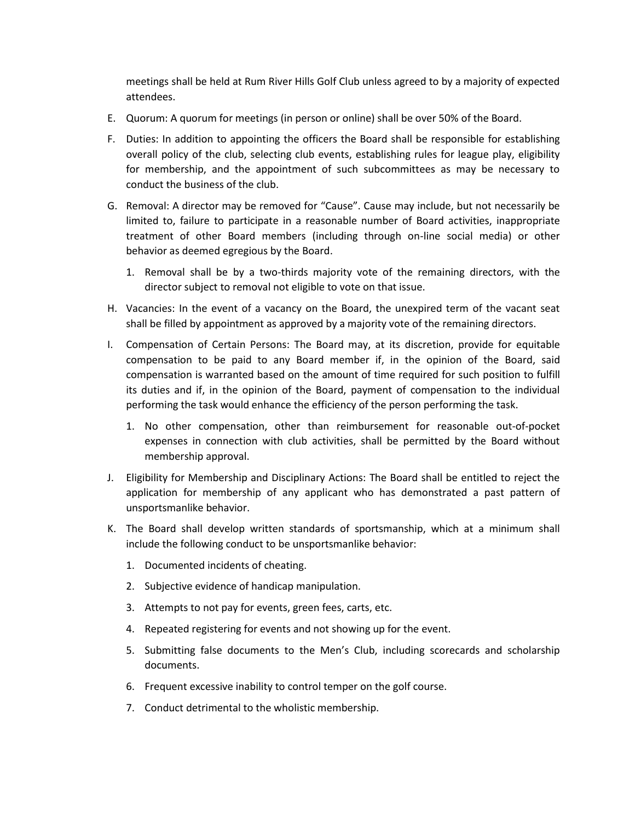meetings shall be held at Rum River Hills Golf Club unless agreed to by a majority of expected attendees.

- E. Quorum: A quorum for meetings (in person or online) shall be over 50% of the Board.
- F. Duties: In addition to appointing the officers the Board shall be responsible for establishing overall policy of the club, selecting club events, establishing rules for league play, eligibility for membership, and the appointment of such subcommittees as may be necessary to conduct the business of the club.
- G. Removal: A director may be removed for "Cause". Cause may include, but not necessarily be limited to, failure to participate in a reasonable number of Board activities, inappropriate treatment of other Board members (including through on-line social media) or other behavior as deemed egregious by the Board.
	- 1. Removal shall be by a two-thirds majority vote of the remaining directors, with the director subject to removal not eligible to vote on that issue.
- H. Vacancies: In the event of a vacancy on the Board, the unexpired term of the vacant seat shall be filled by appointment as approved by a majority vote of the remaining directors.
- I. Compensation of Certain Persons: The Board may, at its discretion, provide for equitable compensation to be paid to any Board member if, in the opinion of the Board, said compensation is warranted based on the amount of time required for such position to fulfill its duties and if, in the opinion of the Board, payment of compensation to the individual performing the task would enhance the efficiency of the person performing the task.
	- 1. No other compensation, other than reimbursement for reasonable out-of-pocket expenses in connection with club activities, shall be permitted by the Board without membership approval.
- J. Eligibility for Membership and Disciplinary Actions: The Board shall be entitled to reject the application for membership of any applicant who has demonstrated a past pattern of unsportsmanlike behavior.
- K. The Board shall develop written standards of sportsmanship, which at a minimum shall include the following conduct to be unsportsmanlike behavior:
	- 1. Documented incidents of cheating.
	- 2. Subjective evidence of handicap manipulation.
	- 3. Attempts to not pay for events, green fees, carts, etc.
	- 4. Repeated registering for events and not showing up for the event.
	- 5. Submitting false documents to the Men's Club, including scorecards and scholarship documents.
	- 6. Frequent excessive inability to control temper on the golf course.
	- 7. Conduct detrimental to the wholistic membership.